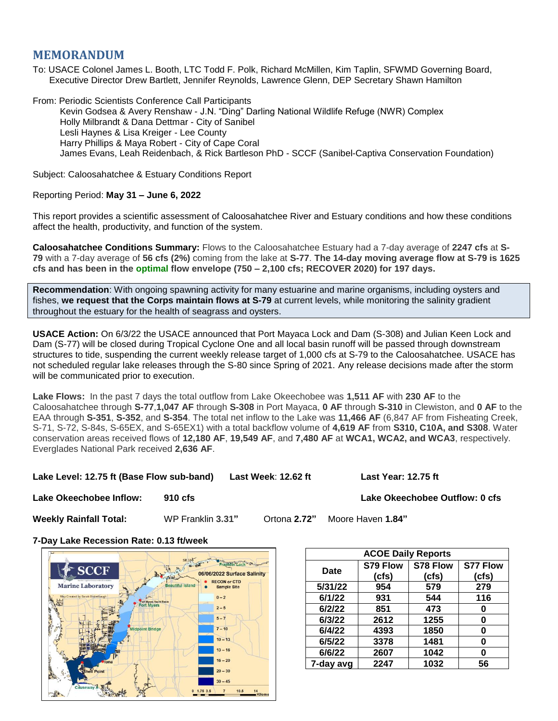# **MEMORANDUM**

To: USACE Colonel James L. Booth, LTC Todd F. Polk, Richard McMillen, Kim Taplin, SFWMD Governing Board, Executive Director Drew Bartlett, Jennifer Reynolds, Lawrence Glenn, DEP Secretary Shawn Hamilton

From: Periodic Scientists Conference Call Participants Kevin Godsea & Avery Renshaw - J.N. "Ding" Darling National Wildlife Refuge (NWR) Complex Holly Milbrandt & Dana Dettmar - City of Sanibel Lesli Haynes & Lisa Kreiger - Lee County Harry Phillips & Maya Robert - City of Cape Coral James Evans, Leah Reidenbach, & Rick Bartleson PhD - SCCF (Sanibel-Captiva Conservation Foundation)

Subject: Caloosahatchee & Estuary Conditions Report

## Reporting Period: **May 31 – June 6, 2022**

This report provides a scientific assessment of Caloosahatchee River and Estuary conditions and how these conditions affect the health, productivity, and function of the system.

**Caloosahatchee Conditions Summary:** Flows to the Caloosahatchee Estuary had a 7-day average of **2247 cfs** at **S-79** with a 7-day average of **56 cfs (2%)** coming from the lake at **S-77**. **The 14-day moving average flow at S-79 is 1625 cfs and has been in the optimal flow envelope (750 – 2,100 cfs; RECOVER 2020) for 197 days.**

**Recommendation**: With ongoing spawning activity for many estuarine and marine organisms, including oysters and fishes, **we request that the Corps maintain flows at S-79** at current levels, while monitoring the salinity gradient throughout the estuary for the health of seagrass and oysters.

**USACE Action:** On 6/3/22 the USACE announced that Port Mayaca Lock and Dam (S-308) and Julian Keen Lock and Dam (S-77) will be closed during Tropical Cyclone One and all local basin runoff will be passed through downstream structures to tide, suspending the current weekly release target of 1,000 cfs at S-79 to the Caloosahatchee. USACE has not scheduled regular lake releases through the S-80 since Spring of 2021. Any release decisions made after the storm will be communicated prior to execution.

**Lake Flows:** In the past 7 days the total outflow from Lake Okeechobee was **1,511 AF** with **230 AF** to the Caloosahatchee through **S-77**,**1,047 AF** through **S-308** in Port Mayaca, **0 AF** through **S-310** in Clewiston, and **0 AF** to the EAA through **S-351**, **S-352**, and **S-354**. The total net inflow to the Lake was **11,466 AF** (6,847 AF from Fisheating Creek, S-71, S-72, S-84s, S-65EX, and S-65EX1) with a total backflow volume of **4,619 AF** from **S310, C10A, and S308**. Water conservation areas received flows of **12,180 AF**, **19,549 AF**, and **7,480 AF** at **WCA1, WCA2, and WCA3**, respectively. Everglades National Park received **2,636 AF**.

**Lake Level: 12.75 ft (Base Flow sub-band) Last Week**: **12.62 ft Last Year: 12.75 ft**

**Lake Okeechobee Inflow: 910 cfs Lake Okeechobee Outflow: 0 cfs**

**Weekly Rainfall Total:** WP Franklin **3.31"** Ortona **2.72"** Moore Haven **1.84"**

**7-Day Lake Recession Rate: 0.13 ft/week**



| <b>ACOE Daily Reports</b> |          |          |                 |  |  |  |
|---------------------------|----------|----------|-----------------|--|--|--|
| Date                      | S79 Flow | S78 Flow | <b>S77 Flow</b> |  |  |  |
|                           | (cfs)    | (cfs)    | (cfs)           |  |  |  |
| 5/31/22                   | 954      | 579      | 279             |  |  |  |
| 6/1/22                    | 931      | 544      | 116             |  |  |  |
| 6/2/22                    | 851      | 473      | 0               |  |  |  |
| 6/3/22                    | 2612     | 1255     | 0               |  |  |  |
| 6/4/22                    | 4393     | 1850     | Ω               |  |  |  |
| 6/5/22                    | 3378     | 1481     | ŋ               |  |  |  |
| 6/6/22                    | 2607     | 1042     | ŋ               |  |  |  |
| 7-day avg                 | 2247     | 1032     | 56              |  |  |  |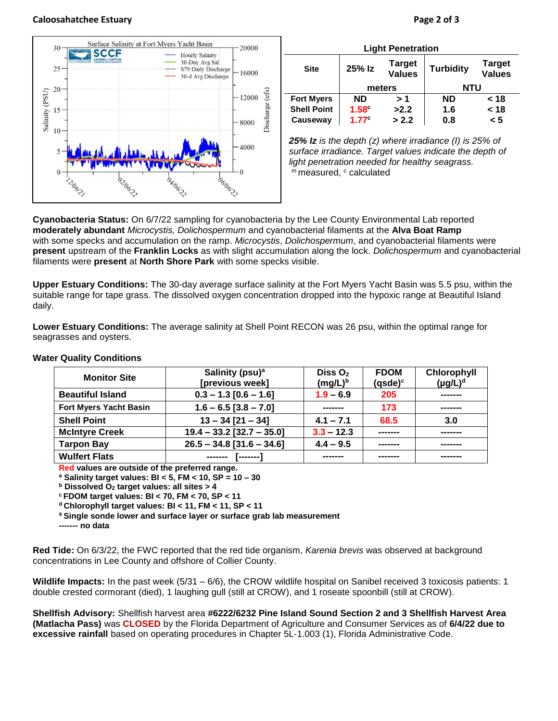#### **Caloosahatchee Estuary Page 2 of 3**



| <b>Light Penetration</b> |                   |                                |                  |                                |  |  |  |
|--------------------------|-------------------|--------------------------------|------------------|--------------------------------|--|--|--|
| <b>Site</b>              | 25% Iz            | <b>Target</b><br><b>Values</b> | <b>Turbidity</b> | <b>Target</b><br><b>Values</b> |  |  |  |
|                          | meters            |                                | <b>NTU</b>       |                                |  |  |  |
| <b>Fort Myers</b>        | <b>ND</b>         | > 1                            | <b>ND</b>        | < 18                           |  |  |  |
| <b>Shell Point</b>       | $1.58^\circ$      | >2.2                           | 1.6              | < 18                           |  |  |  |
| Causeway                 | 1.77 <sup>c</sup> | > 2.2                          | 0.8              | < 5                            |  |  |  |

*25% Iz is the depth (z) where irradiance (I) is 25% of surface irradiance. Target values indicate the depth of light penetration needed for healthy seagrass.* m measured, c calculated

**Cyanobacteria Status:** On 6/7/22 sampling for cyanobacteria by the Lee County Environmental Lab reported **moderately abundant** *Microcystis, Dolichospermum* and cyanobacterial filaments at the **Alva Boat Ramp** with some specks and accumulation on the ramp. *Microcystis*, *Dolichospermum*, and cyanobacterial filaments were **present** upstream of the **Franklin Locks** as with slight accumulation along the lock. *Dolichospermum* and cyanobacterial filaments were **present** at **North Shore Park** with some specks visible.

**Upper Estuary Conditions:** The 30-day average surface salinity at the Fort Myers Yacht Basin was 5.5 psu, within the suitable range for tape grass. The dissolved oxygen concentration dropped into the hypoxic range at Beautiful Island daily.

**Lower Estuary Conditions:** The average salinity at Shell Point RECON was 26 psu, within the optimal range for seagrasses and oysters.

| <b>Monitor Site</b>           | Salinity (psu) <sup>a</sup><br>[previous week] | Diss $O2$<br>$(mg/L)^b$ | <b>FDOM</b><br>(qsde) <sup>c</sup> | Chlorophyll<br>$(\mu g/L)^d$ |
|-------------------------------|------------------------------------------------|-------------------------|------------------------------------|------------------------------|
| <b>Beautiful Island</b>       | $0.3 - 1.3$ [0.6 - 1.6]<br>$1.9 - 6.9$<br>205  |                         |                                    |                              |
| <b>Fort Myers Yacht Basin</b> | $1.6 - 6.5$ [3.8 - 7.0]                        | -------                 | 173                                | -------                      |
| <b>Shell Point</b>            | $13 - 34$ [21 - 34]                            | $4.1 - 7.1$             | 68.5                               | 3.0                          |
| <b>McIntyre Creek</b>         | $19.4 - 33.2$ [32.7 - 35.0]                    | $3.3 - 12.3$            |                                    | -------                      |
| <b>Tarpon Bay</b>             | $26.5 - 34.8$ [31.6 - 34.6]                    | $4.4 - 9.5$             |                                    | -------                      |
| <b>Wulfert Flats</b>          | -------                                        |                         |                                    |                              |

#### **Water Quality Conditions**

**Red values are outside of the preferred range.**

**<sup>a</sup> Salinity target values: BI < 5, FM < 10, SP = 10 – 30**

**<sup>b</sup> Dissolved O<sup>2</sup> target values: all sites > 4**

**<sup>c</sup> FDOM target values: BI < 70, FM < 70, SP < 11**

**<sup>d</sup> Chlorophyll target values: BI < 11, FM < 11, SP < 11** 

**<sup>s</sup> Single sonde lower and surface layer or surface grab lab measurement**

**------- no data**

**Red Tide:** On 6/3/22, the FWC reported that the red tide organism, *Karenia brevis* was observed at background concentrations in Lee County and offshore of Collier County.

**Wildlife Impacts:** In the past week (5/31 – 6/6), the CROW wildlife hospital on Sanibel received 3 toxicosis patients: 1 double crested cormorant (died), 1 laughing gull (still at CROW), and 1 roseate spoonbill (still at CROW).

**Shellfish Advisory:** Shellfish harvest area **#6222/6232 Pine Island Sound Section 2 and 3 Shellfish Harvest Area (Matlacha Pass)** was **CLOSED** by the Florida Department of Agriculture and Consumer Services as of **6/4/22 due to excessive rainfall** based on operating procedures in Chapter 5L-1.003 (1), Florida Administrative Code.